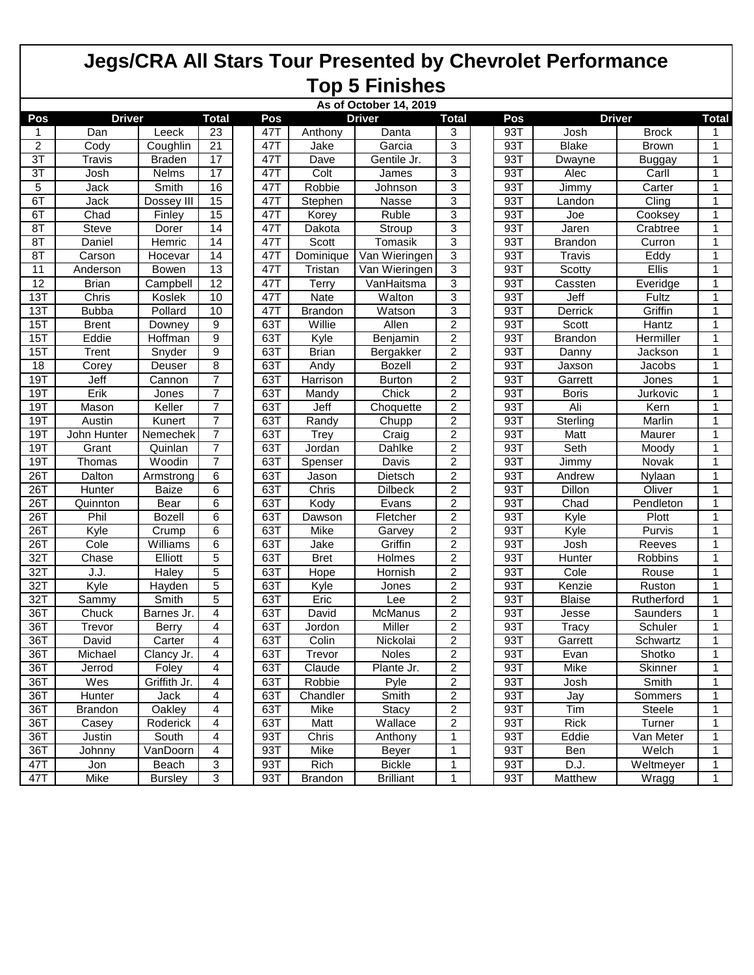## **Jegs/CRA All Stars Tour Presented by Chevrolet Performance Top 5 Finishes**

|                | As of October 14, 2019 |                |                         |  |                      |                |                  |                         |  |     |                |                     |              |
|----------------|------------------------|----------------|-------------------------|--|----------------------|----------------|------------------|-------------------------|--|-----|----------------|---------------------|--------------|
| Pos            | <b>Driver</b>          |                |                         |  | <b>Driver</b><br>Pos |                |                  | <b>Total</b>            |  | Pos | <b>Driver</b>  |                     | <b>Total</b> |
| 1              | Dan                    | Leeck          | 23                      |  | 47T                  | Anthony        | Danta            | 3                       |  | 93T | Josh           | <b>Brock</b>        | 1            |
| 2              | Cody                   | Coughlin       | 21                      |  | 47T                  | Jake           | Garcia           | 3                       |  | 93T | <b>Blake</b>   | <b>Brown</b>        | 1            |
| 3T             | Travis                 | <b>Braden</b>  | 17                      |  | 47T                  | Dave           | Gentile Jr.      | 3                       |  | 93T | Dwayne         | <b>Buggay</b>       | 1            |
| $\overline{3}$ | Josh                   | Nelms          | 17                      |  | 47T                  | Colt           | James            | 3                       |  | 93T | Alec           | Carll               | 1            |
| 5              | Jack                   | Smith          | 16                      |  | 47T                  | Robbie         | Johnson          | 3                       |  | 93T | Jimmy          | Carter              | 1            |
| 6T             | Jack                   | Dossey III     | 15                      |  | 47T                  | Stephen        | Nasse            | 3                       |  | 93T | Landon         | $\overline{C}$ ling | 1            |
| 6T             | Chad                   | Finley         | 15                      |  | 47T                  | Korey          | Ruble            | 3                       |  | 93T | Joe            | Cooksey             | 1            |
| 8T             | Steve                  | Dorer          | 14                      |  | 47T                  | Dakota         | Stroup           | 3                       |  | 93T | <b>Jaren</b>   | Crabtree            | 1            |
| 8T             | Daniel                 | Hemric         | 14                      |  | 47T                  | Scott          | Tomasik          | 3                       |  | 93T | <b>Brandon</b> | Curron              | 1            |
| 8T             | Carson                 | Hocevar        | 14                      |  | 47T                  | Dominique      | Van Wieringen    | 3                       |  | 93T | <b>Travis</b>  | Eddy                | 1            |
| 11             | Anderson               | Bowen          | 13                      |  | 47T                  | Tristan        | Van Wieringen    | 3                       |  | 93T | Scotty         | Ellis               | 1            |
| 12             | <b>Brian</b>           | Campbell       | $\overline{12}$         |  | 47T                  | Terry          | VanHaitsma       | 3                       |  | 93T | Cassten        | Everidge            | 1            |
| 13T            | Chris                  | Koslek         | 10                      |  | 47T                  | Nate           | Walton           | 3                       |  | 93T | Jeff           | Fultz               | 1            |
| 13T            | <b>Bubba</b>           | Pollard        | 10                      |  | 47T                  | <b>Brandon</b> | Watson           | 3                       |  | 93T | Derrick        | Griffin             | 1            |
| 15T            | <b>Brent</b>           | Downey         | 9                       |  | 63T                  | Willie         | Allen            | $\overline{2}$          |  | 93T | Scott          | Hantz               | 1            |
| 15T            | Eddie                  | <b>Hoffman</b> | 9                       |  | 63T                  | Kyle           | Benjamin         | 2                       |  | 93T | <b>Brandon</b> | Hermiller           | 1            |
| 15T            | Trent                  | Snyder         | 9                       |  | 63T                  | <b>Brian</b>   | Bergakker        | $\overline{2}$          |  | 93T | Danny          | Jackson             | 1            |
| 18             | Corey                  | Deuser         | 8                       |  | 63T                  | Andy           | <b>Bozell</b>    | $\overline{2}$          |  | 93T | Jaxson         | <b>Jacobs</b>       | 1            |
| 19T            | Jeff                   | Cannon         | $\overline{7}$          |  | 63T                  | Harrison       | <b>Burton</b>    | 2                       |  | 93T | Garrett        | <b>Jones</b>        | 1            |
| 19T            | Erik                   | Jones          | $\overline{7}$          |  | 63T                  | Mandy          | Chick            | $\overline{c}$          |  | 93T | <b>Boris</b>   | Jurkovic            | 1            |
| 19T            | Mason                  | Keller         | $\overline{7}$          |  | 63T                  | Jeff           | Choquette        | $\overline{c}$          |  | 93T | Ali            | Kern                | 1            |
| 19T            | Austin                 | Kunert         | $\overline{7}$          |  | 63T                  | Randy          | Chupp            | 2                       |  | 93T | Sterling       | Marlin              | 1            |
| 19T            | John Hunter            | Nemechek       | $\overline{7}$          |  | 63T                  | Trey           | Craig            | $\overline{\mathbf{c}}$ |  | 93T | Matt           | Maurer              | 1            |
| 19T            | Grant                  | Quinlan        | $\overline{7}$          |  | 63T                  | Jordan         | Dahlke           | $\overline{c}$          |  | 93T | Seth           | Moody               | 1            |
| 19T            | Thomas                 | Woodin         | $\overline{7}$          |  | 63T                  | Spenser        | Davis            | $\overline{2}$          |  | 93T | Jimmy          | Novak               | 1            |
| 26T            | Dalton                 | Armstrong      | 6                       |  | 63T                  | Jason          | <b>Dietsch</b>   | $\overline{2}$          |  | 93T | Andrew         | Nylaan              | $\mathbf{1}$ |
| 26T            | Hunter                 | <b>Baize</b>   | 6                       |  | 63T                  | Chris          | <b>Dilbeck</b>   | 2                       |  | 93T | Dillon         | Oliver              | 1            |
| 26T            | Quinnton               | Bear           | 6                       |  | 63T                  | Kody           | Evans            | $\overline{c}$          |  | 93T | Chad           | Pendleton           | 1            |
| 26T            | Phil                   | <b>Bozell</b>  | 6                       |  | 63T                  | Dawson         | Fletcher         | 2                       |  | 93T | Kyle           | Plott               | 1            |
| 26T            | Kyle                   | Crump          | 6                       |  | 63T                  | Mike           | Garvey           | 2                       |  | 93T | Kyle           | Purvis              | 1            |
| 26T            | Cole                   | Williams       | 6                       |  | 63T                  | Jake           | Griffin          | 2                       |  | 93T | Josh           | Reeves              | 1            |
| 32T            | Chase                  | Elliott        | 5                       |  | 63T                  | <b>Bret</b>    | Holmes           | $\overline{c}$          |  | 93T | <b>Hunter</b>  | Robbins             | 1            |
| 32T            | J.J.                   | <b>Haley</b>   | $\overline{5}$          |  | 63T                  | Hope           | Hornish          | $\overline{c}$          |  | 93T | Cole           | Rouse               | 1            |
| 32T            | Kyle                   | Hayden         | 5                       |  | 63T                  | Kyle           | Jones            | 2                       |  | 93T | Kenzie         | Ruston              | 1            |
| 32T            | Sammy                  | Smith          | 5                       |  | 63T                  | Eric           | Lee              | $\overline{2}$          |  | 93T | <b>Blaise</b>  | Rutherford          | 1            |
| 36T            | Chuck                  | Barnes Jr.     | 4                       |  | 63T                  | David          | McManus          | 2                       |  | 93T | Jesse          | Saunders            | 1            |
| 36T            | Trevor                 | <b>Berry</b>   | 4                       |  | 63T                  | Jordon         | Miller           | 2                       |  | 93T | <b>Tracy</b>   | Schuler             | 1            |
| 36T            | David                  | Carter         | 4                       |  | 63T                  | Colin          | Nickolai         | $\overline{2}$          |  | 93T | Garrett        | Schwartz            | 1            |
| 36T            | Michael                | Clancy Jr.     | $\overline{\mathbf{4}}$ |  | 63T                  | Trevor         | Noles            | $\overline{2}$          |  | 93T | Evan           | Shotko              |              |
| 36T            | Jerrod                 | Foley          | $\overline{4}$          |  | 63T                  | Claude         | Plante Jr.       | $\overline{c}$          |  | 93T | Mike           | Skinner             | 1            |
| 36T            | Wes                    | Griffith Jr.   | 4                       |  | 63T                  | Robbie         | Pyle             | $\overline{c}$          |  | 93T | Josh           | Smith               | 1            |
| 36T            | Hunter                 | Jack           | $\overline{4}$          |  | 63T                  | Chandler       | Smith            | $\overline{2}$          |  | 93T | Jay            | Sommers             | 1            |
| 36T            | <b>Brandon</b>         | <b>Oakley</b>  | $\overline{4}$          |  | 63T                  | Mike           | Stacy            | $\overline{c}$          |  | 93T | Tim            | Steele              | 1            |
| 36T            | Casey                  | Roderick       | 4                       |  | 63T                  | Matt           | Wallace          | $\overline{c}$          |  | 93T | Rick           | Turner              | 1            |
| 36T            | Justin                 | South          | 4                       |  | 93T                  | Chris          | Anthony          | 1                       |  | 93T | Eddie          | Van Meter           | 1            |
| 36T            | Johnny                 | VanDoorn       | 4                       |  | 93T                  | Mike           | Beyer            | 1                       |  | 93T | Ben            | Welch               | 1            |
| 47T            | Jon                    | Beach          | 3                       |  | 93T                  | Rich           | <b>Bickle</b>    | 1                       |  | 93T | D.J.           | Weltmeyer           | 1            |
| 47T            | Mike                   | <b>Bursley</b> | 3                       |  | 93T                  | Brandon        | <b>Brilliant</b> | 1                       |  | 93T | Matthew        | Wragg               | 1            |